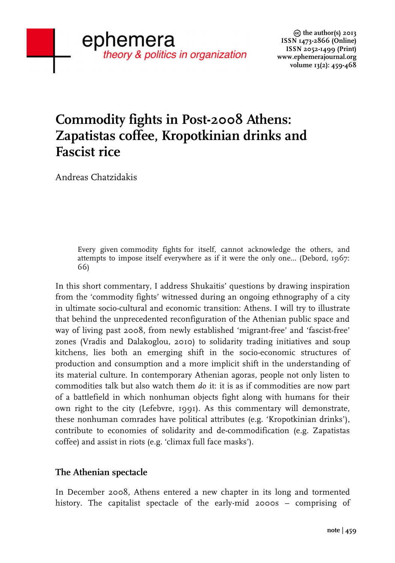# **Commodity fights in Post-2008 Athens: Zapatistas coffee, Kropotkinian drinks and Fascist rice**

Andreas Chatzidakis

Every given commodity fights for itself, cannot acknowledge the others, and attempts to impose itself everywhere as if it were the only one... (Debord, 1967: 66)

In this short commentary, I address Shukaitis' questions by drawing inspiration from the 'commodity fights' witnessed during an ongoing ethnography of a city in ultimate socio-cultural and economic transition: Athens. I will try to illustrate that behind the unprecedented reconfiguration of the Athenian public space and way of living past 2008, from newly established 'migrant-free' and 'fascist-free' zones (Vradis and Dalakoglou, 2010) to solidarity trading initiatives and soup kitchens, lies both an emerging shift in the socio-economic structures of production and consumption and a more implicit shift in the understanding of its material culture. In contemporary Athenian agoras, people not only listen to commodities talk but also watch them *do* it: it is as if commodities are now part of a battlefield in which nonhuman objects fight along with humans for their own right to the city (Lefebvre, 1991). As this commentary will demonstrate, these nonhuman comrades have political attributes (e.g. 'Kropotkinian drinks'), contribute to economies of solidarity and de-commodification (e.g. Zapatistas coffee) and assist in riots (e.g. 'climax full face masks').

## **The Athenian spectacle**

In December 2008, Athens entered a new chapter in its long and tormented history. The capitalist spectacle of the early-mid 2000s – comprising of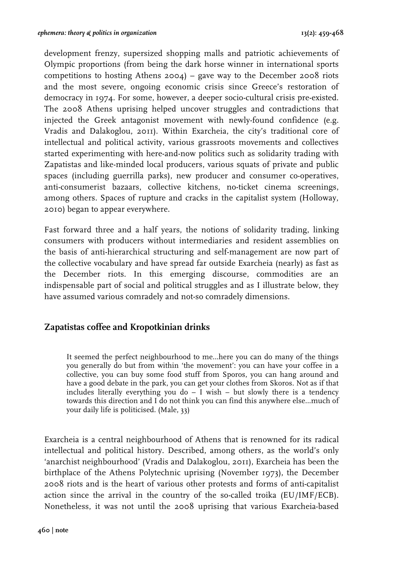development frenzy, supersized shopping malls and patriotic achievements of Olympic proportions (from being the dark horse winner in international sports competitions to hosting Athens 2004) – gave way to the December 2008 riots and the most severe, ongoing economic crisis since Greece's restoration of democracy in 1974. For some, however, a deeper socio-cultural crisis pre-existed. The 2008 Athens uprising helped uncover struggles and contradictions that injected the Greek antagonist movement with newly-found confidence (e.g. Vradis and Dalakoglou, 2011). Within Exarcheia, the city's traditional core of intellectual and political activity, various grassroots movements and collectives started experimenting with here-and-now politics such as solidarity trading with Zapatistas and like-minded local producers, various squats of private and public spaces (including guerrilla parks), new producer and consumer co-operatives, anti-consumerist bazaars, collective kitchens, no-ticket cinema screenings, among others. Spaces of rupture and cracks in the capitalist system (Holloway, 2010) began to appear everywhere.

Fast forward three and a half years, the notions of solidarity trading, linking consumers with producers without intermediaries and resident assemblies on the basis of anti-hierarchical structuring and self-management are now part of the collective vocabulary and have spread far outside Exarcheia (nearly) as fast as the December riots. In this emerging discourse, commodities are an indispensable part of social and political struggles and as I illustrate below, they have assumed various comradely and not-so comradely dimensions.

#### **Zapatistas coffee and Kropotkinian drinks**

It seemed the perfect neighbourhood to me…here you can do many of the things you generally do but from within 'the movement': you can have your coffee in a collective, you can buy some food stuff from Sporos, you can hang around and have a good debate in the park, you can get your clothes from Skoros. Not as if that includes literally everything you do  $-$  I wish  $-$  but slowly there is a tendency towards this direction and I do not think you can find this anywhere else…much of your daily life is politicised. (Male, 33)

Exarcheia is a central neighbourhood of Athens that is renowned for its radical intellectual and political history. Described, among others, as the world's only 'anarchist neighbourhood' (Vradis and Dalakoglou, 2011), Exarcheia has been the birthplace of the Athens Polytechnic uprising (November 1973), the December 2008 riots and is the heart of various other protests and forms of anti-capitalist action since the arrival in the country of the so-called troika (EU/IMF/ECB). Nonetheless, it was not until the 2008 uprising that various Exarcheia-based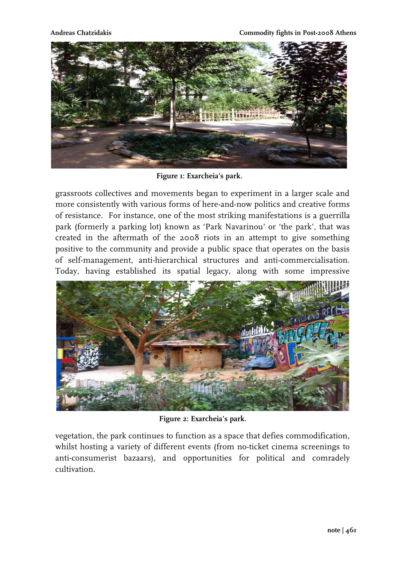**Andreas Chatzidakis Commodity fights in Post-2008 Athens**



**Figure 1: Exarcheia's park.** 

grassroots collectives and movements began to experiment in a larger scale and more consistently with various forms of here-and-now politics and creative forms of resistance. For instance, one of the most striking manifestations is a guerrilla park (formerly a parking lot) known as 'Park Navarinou' or 'the park', that was created in the aftermath of the 2008 riots in an attempt to give something positive to the community and provide a public space that operates on the basis of self-management, anti-hierarchical structures and anti-commercialisation. Today, having established its spatial legacy, along with some impressive



**Figure 2: Exarcheia's park.** 

vegetation, the park continues to function as a space that defies commodification, whilst hosting a variety of different events (from no-ticket cinema screenings to anti-consumerist bazaars), and opportunities for political and comradely cultivation.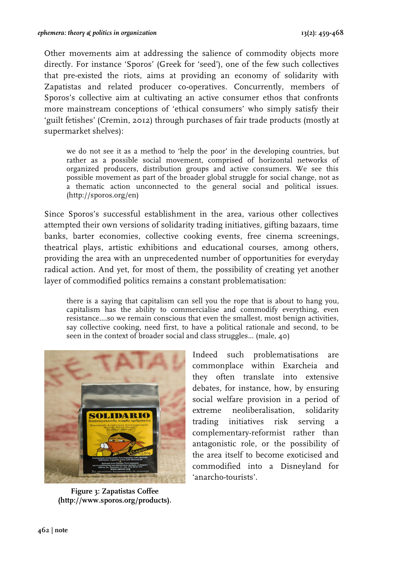Other movements aim at addressing the salience of commodity objects more directly. For instance 'Sporos' (Greek for 'seed'), one of the few such collectives that pre-existed the riots, aims at providing an economy of solidarity with Zapatistas and related producer co-operatives. Concurrently, members of Sporos's collective aim at cultivating an active consumer ethos that confronts more mainstream conceptions of 'ethical consumers' who simply satisfy their 'guilt fetishes' (Cremin, 2012) through purchases of fair trade products (mostly at supermarket shelves):

we do not see it as a method to 'help the poor' in the developing countries, but rather as a possible social movement, comprised of horizontal networks of organized producers, distribution groups and active consumers. We see this possible movement as part of the broader global struggle for social change, not as a thematic action unconnected to the general social and political issues. (http://sporos.org/en)

Since Sporos's successful establishment in the area, various other collectives attempted their own versions of solidarity trading initiatives, gifting bazaars, time banks, barter economies, collective cooking events, free cinema screenings, theatrical plays, artistic exhibitions and educational courses, among others, providing the area with an unprecedented number of opportunities for everyday radical action. And yet, for most of them, the possibility of creating yet another layer of commodified politics remains a constant problematisation:

there is a saying that capitalism can sell you the rope that is about to hang you, capitalism has the ability to commercialise and commodify everything, even resistance....so we remain conscious that even the smallest, most benign activities, say collective cooking, need first, to have a political rationale and second, to be seen in the context of broader social and class struggles... (male, 40)



**Figure 3: Zapatistas Coffee (http://www.sporos.org/products).**

Indeed such problematisations are commonplace within Exarcheia and they often translate into extensive debates, for instance, how, by ensuring social welfare provision in a period of extreme neoliberalisation, solidarity trading initiatives risk serving a complementary-reformist rather than antagonistic role, or the possibility of the area itself to become exoticised and commodified into a Disneyland for 'anarcho-tourists'.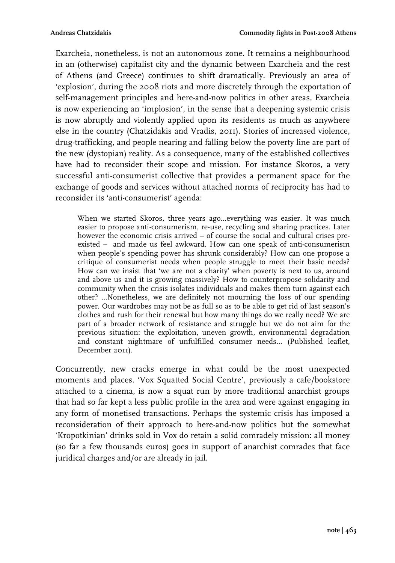Exarcheia, nonetheless, is not an autonomous zone. It remains a neighbourhood in an (otherwise) capitalist city and the dynamic between Exarcheia and the rest of Athens (and Greece) continues to shift dramatically. Previously an area of 'explosion', during the 2008 riots and more discretely through the exportation of self-management principles and here-and-now politics in other areas, Exarcheia is now experiencing an 'implosion', in the sense that a deepening systemic crisis is now abruptly and violently applied upon its residents as much as anywhere else in the country (Chatzidakis and Vradis, 2011). Stories of increased violence, drug-trafficking, and people nearing and falling below the poverty line are part of the new (dystopian) reality. As a consequence, many of the established collectives have had to reconsider their scope and mission. For instance Skoros, a very successful anti-consumerist collective that provides a permanent space for the exchange of goods and services without attached norms of reciprocity has had to reconsider its 'anti-consumerist' agenda:

When we started Skoros, three years ago...everything was easier. It was much easier to propose anti-consumerism, re-use, recycling and sharing practices. Later however the economic crisis arrived – of course the social and cultural crises preexisted – and made us feel awkward. How can one speak of anti-consumerism when people's spending power has shrunk considerably? How can one propose a critique of consumerist needs when people struggle to meet their basic needs? How can we insist that 'we are not a charity' when poverty is next to us, around and above us and it is growing massively? How to counterpropose solidarity and community when the crisis isolates individuals and makes them turn against each other? ...Nonetheless, we are definitely not mourning the loss of our spending power. Our wardrobes may not be as full so as to be able to get rid of last season's clothes and rush for their renewal but how many things do we really need? We are part of a broader network of resistance and struggle but we do not aim for the previous situation: the exploitation, uneven growth, environmental degradation and constant nightmare of unfulfilled consumer needs... (Published leaflet, December 2011).

Concurrently, new cracks emerge in what could be the most unexpected moments and places. 'Vox Squatted Social Centre', previously a cafe/bookstore attached to a cinema, is now a squat run by more traditional anarchist groups that had so far kept a less public profile in the area and were against engaging in any form of monetised transactions. Perhaps the systemic crisis has imposed a reconsideration of their approach to here-and-now politics but the somewhat 'Kropotkinian' drinks sold in Vox do retain a solid comradely mission: all money (so far a few thousands euros) goes in support of anarchist comrades that face juridical charges and/or are already in jail.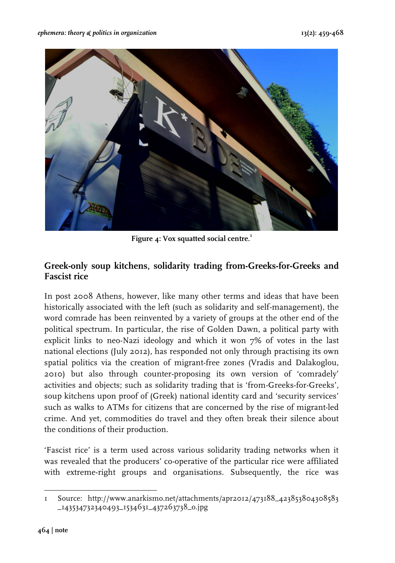

**Figure 4: Vox squatted social centre.<sup>1</sup>**

## **Greek-only soup kitchens, solidarity trading from-Greeks-for-Greeks and Fascist rice**

In post 2008 Athens, however, like many other terms and ideas that have been historically associated with the left (such as solidarity and self-management), the word comrade has been reinvented by a variety of groups at the other end of the political spectrum. In particular, the rise of Golden Dawn, a political party with explicit links to neo-Nazi ideology and which it won 7% of votes in the last national elections (July 2012), has responded not only through practising its own spatial politics via the creation of migrant-free zones (Vradis and Dalakoglou, 2010) but also through counter-proposing its own version of 'comradely' activities and objects; such as solidarity trading that is 'from-Greeks-for-Greeks', soup kitchens upon proof of (Greek) national identity card and 'security services' such as walks to ATMs for citizens that are concerned by the rise of migrant-led crime. And yet, commodities do travel and they often break their silence about the conditions of their production.

'Fascist rice' is a term used across various solidarity trading networks when it was revealed that the producers' co-operative of the particular rice were affiliated with extreme-right groups and organisations. Subsequently, the rice was

 1 Source: http://www.anarkismo.net/attachments/apr2012/473188\_423853804308583 \_143534732340493\_1534631\_437263738\_o.jpg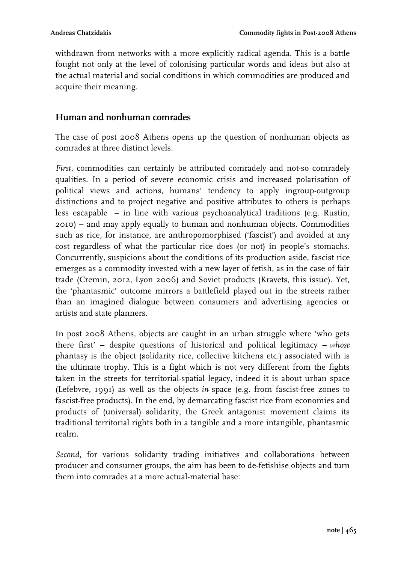withdrawn from networks with a more explicitly radical agenda. This is a battle fought not only at the level of colonising particular words and ideas but also at the actual material and social conditions in which commodities are produced and acquire their meaning.

### **Human and nonhuman comrades**

The case of post 2008 Athens opens up the question of nonhuman objects as comrades at three distinct levels.

*First*, commodities can certainly be attributed comradely and not-so comradely qualities. In a period of severe economic crisis and increased polarisation of political views and actions, humans' tendency to apply ingroup-outgroup distinctions and to project negative and positive attributes to others is perhaps less escapable – in line with various psychoanalytical traditions (e.g. Rustin, 2010) – and may apply equally to human and nonhuman objects. Commodities such as rice, for instance, are anthropomorphised ('fascist') and avoided at any cost regardless of what the particular rice does (or not) in people's stomachs. Concurrently, suspicions about the conditions of its production aside, fascist rice emerges as a commodity invested with a new layer of fetish, as in the case of fair trade (Cremin, 2012, Lyon 2006) and Soviet products (Kravets, this issue). Yet, the 'phantasmic' outcome mirrors a battlefield played out in the streets rather than an imagined dialogue between consumers and advertising agencies or artists and state planners.

In post 2008 Athens, objects are caught in an urban struggle where 'who gets there first' – despite questions of historical and political legitimacy – *whose*  phantasy is the object (solidarity rice, collective kitchens etc.) associated with is the ultimate trophy. This is a fight which is not very different from the fights taken in the streets for territorial-spatial legacy, indeed it is about urban space (Lefebvre, 1991) as well as the objects *in* space (e.g. from fascist-free zones to fascist-free products). In the end, by demarcating fascist rice from economies and products of (universal) solidarity, the Greek antagonist movement claims its traditional territorial rights both in a tangible and a more intangible, phantasmic realm.

*Second*, for various solidarity trading initiatives and collaborations between producer and consumer groups, the aim has been to de-fetishise objects and turn them into comrades at a more actual-material base: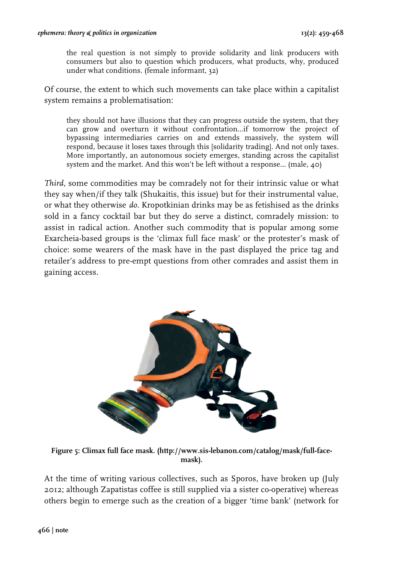the real question is not simply to provide solidarity and link producers with consumers but also to question which producers, what products, why, produced under what conditions. (female informant, 32)

Of course, the extent to which such movements can take place within a capitalist system remains a problematisation:

they should not have illusions that they can progress outside the system, that they can grow and overturn it without confrontation...if tomorrow the project of bypassing intermediaries carries on and extends massively, the system will respond, because it loses taxes through this [solidarity trading]. And not only taxes. More importantly, an autonomous society emerges, standing across the capitalist system and the market. And this won't be left without a response... (male, 40)

*Third*, some commodities may be comradely not for their intrinsic value or what they say when/if they talk (Shukaitis, this issue) but for their instrumental value, or what they otherwise *do*. Kropotkinian drinks may be as fetishised as the drinks sold in a fancy cocktail bar but they do serve a distinct, comradely mission: to assist in radical action. Another such commodity that is popular among some Exarcheia-based groups is the 'climax full face mask' or the protester's mask of choice: some wearers of the mask have in the past displayed the price tag and retailer's address to pre-empt questions from other comrades and assist them in gaining access.



**Figure 5: Climax full face mask. (http://www.sis-lebanon.com/catalog/mask/full-facemask).**

At the time of writing various collectives, such as Sporos, have broken up (July 2012; although Zapatistas coffee is still supplied via a sister co-operative) whereas others begin to emerge such as the creation of a bigger 'time bank' (network for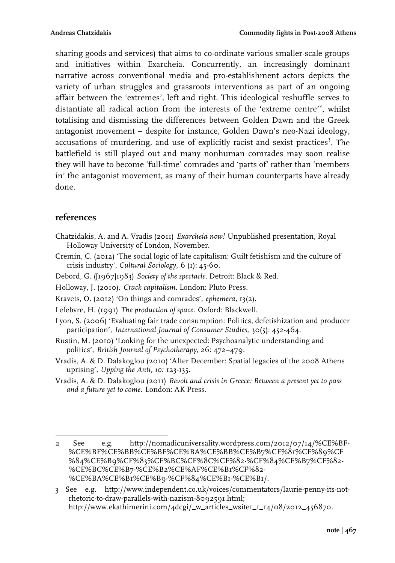sharing goods and services) that aims to co-ordinate various smaller-scale groups and initiatives within Exarcheia. Concurrently, an increasingly dominant narrative across conventional media and pro-establishment actors depicts the variety of urban struggles and grassroots interventions as part of an ongoing affair between the 'extremes', left and right. This ideological reshuffle serves to distantiate all radical action from the interests of the 'extreme centre'<sup>2</sup>, whilst totalising and dismissing the differences between Golden Dawn and the Greek antagonist movement – despite for instance, Golden Dawn's neo-Nazi ideology, accusations of murdering, and use of explicitly racist and sexist practices<sup>3</sup>. The battlefield is still played out and many nonhuman comrades may soon realise they will have to become 'full-time' comrades and 'parts of' rather than 'members in' the antagonist movement, as many of their human counterparts have already done.

## **references**

- Chatzidakis, A. and A. Vradis (2011) *Exarcheia now!* Unpublished presentation, Royal Holloway University of London, November.
- Cremin, C. (2012) 'The social logic of late capitalism: Guilt fetishism and the culture of crisis industry', *Cultural Sociology,* 6 (1): 45-60.
- Debord, G. ([1967]1983) *Society of the spectacle*. Detroit: Black & Red.
- Holloway, J. (2010). *Crack capitalism*. London: Pluto Press.
- Kravets, O. (2012) 'On things and comrades', *ephemera,* 13(2).
- Lefebvre, H. (1991) *The production of space.* Oxford: Blackwell.
- Lyon, S. (2006) 'Evaluating fair trade consumption: Politics, defetishization and producer participation', *International Journal of Consumer Studies,* 30(5): 452-464.
- Rustin, M. (2010) 'Looking for the unexpected: Psychoanalytic understanding and politics', *British Journal of Psychotherapy*, 26: 472–479.
- Vradis, A. & D. Dalakoglou (2010) 'After December: Spatial legacies of the 2008 Athens uprising', *Upping the Anti, 10:* 123-135.
- Vradis, A. & D. Dalakoglou (2011) *Revolt and crisis in Greece: Between a present yet to pass and a future yet to come.* London: AK Press.

 $\frac{1}{2}$  and  $\frac{1}{2}$  and  $\frac{1}{2}$  and  $\frac{1}{2}$  and  $\frac{1}{2}$  and  $\frac{1}{2}$  and  $\frac{1}{2}$  and  $\frac{1}{2}$  and  $\frac{1}{2}$  and  $\frac{1}{2}$  and  $\frac{1}{2}$  and  $\frac{1}{2}$  and  $\frac{1}{2}$  and  $\frac{1}{2}$  and  $\frac{1}{2}$  and  $\frac{1}{2}$  a 2 See e.g. http://nomadicuniversality.wordpress.com/2012/07/14/%CE%BF- %CE%BF%CE%BB%CE%BF%CE%BA%CE%BB%CE%B7%CF%81%CF%89%CF %84%CE%B9%CF%83%CE%BC%CF%8C%CF%82-%CF%84%CE%B7%CF%82- %CE%BC%CE%B7-%CE%B2%CE%AF%CE%B1%CF%82- %CE%BA%CE%B1%CE%B9-%CF%84%CE%B1-%CE%B1/.

<sup>3</sup> See e.g. http://www.independent.co.uk/voices/commentators/laurie-penny-its-notrhetoric-to-draw-parallels-with-nazism-8092591.html; http://www.ekathimerini.com/4dcgi/\_w\_articles\_wsite1\_1\_14/08/2012\_456870.